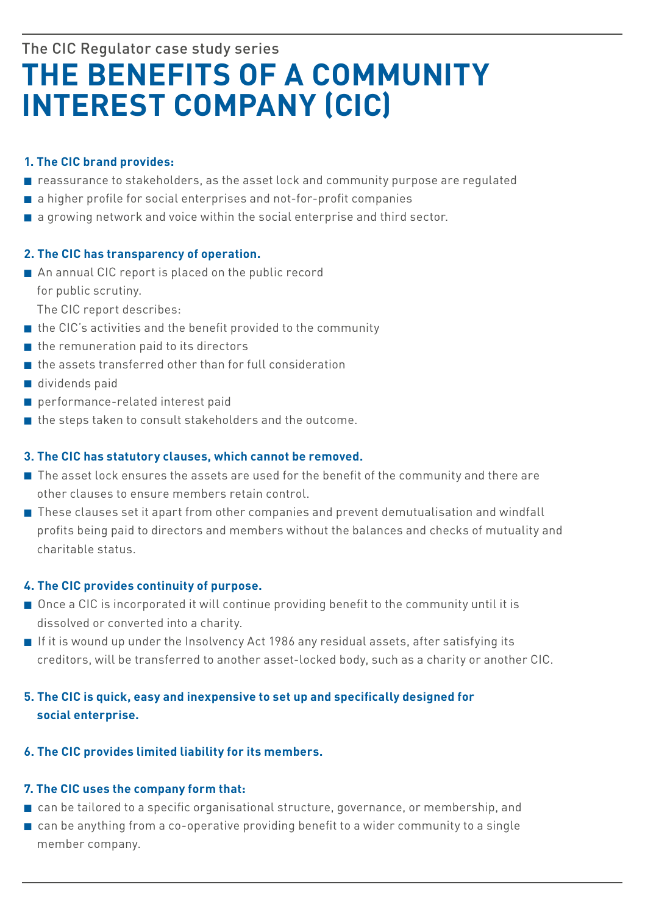# The CIC Regulator case study series **the benefits of A Community interest CompAny (CiC)**

# **1. the CiC brand provides:**

- n reassurance to stakeholders, as the asset lock and community purpose are regulated
- $\blacksquare$  a higher profile for social enterprises and not-for-profit companies
- $\blacksquare$  a growing network and voice within the social enterprise and third sector.

### **2. the CiC has transparency of operation.**

 $\blacksquare$  An annual CIC report is placed on the public record for public scrutiny.

The CIC report describes:

- $\blacksquare$  the CIC's activities and the benefit provided to the community
- $n$  the remuneration paid to its directors
- $\blacksquare$  the assets transferred other than for full consideration
- $\blacksquare$  dividends paid
- $\blacksquare$  performance-related interest paid
- $\blacksquare$  the steps taken to consult stakeholders and the outcome.

## **3. the CiC has statutory clauses, which cannot be removed.**

- $\blacksquare$  The asset lock ensures the assets are used for the benefit of the community and there are other clauses to ensure members retain control.
- **n** These clauses set it apart from other companies and prevent demutualisation and windfall profits being paid to directors and members without the balances and checks of mutuality and charitable status.

# **4. the CiC provides continuity of purpose.**

- n Once a CIC is incorporated it will continue providing benefit to the community until it is dissolved or converted into a charity.
- **n** If it is wound up under the Insolvency Act 1986 any residual assets, after satisfying its creditors, will be transferred to another asset-locked body, such as a charity or another CIC.

# **5. the CiC is quick, easy and inexpensive to set up and specifically designed for social enterprise.**

# **6. the CiC provides limited liability for its members.**

## **7. the CiC uses the company form that:**

- n can be tailored to a specific organisational structure, governance, or membership, and
- $\blacksquare$  can be anything from a co-operative providing benefit to a wider community to a single member company.